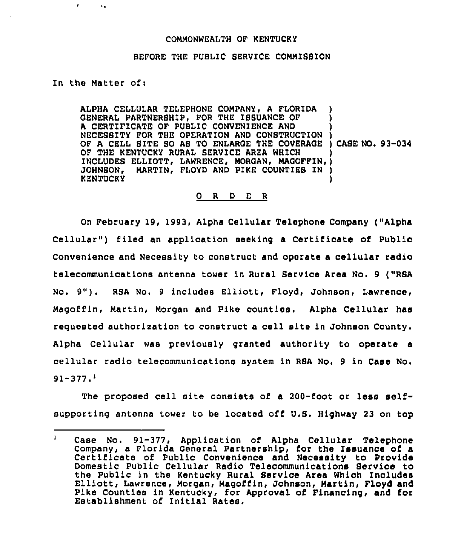## COMMONWEALTH OF KENTUCKY

## BEFORE THE PUBLIC SERVICE COMMIBSION

## In the Matter of:

ALPHA CELLULAR TELEPHONE COMPANY, A FLORIDA GENERAL PARTNERSHIP, FOR THE ISSUANCE OF A CERTIFICATE OF PUBLIC CONVENIENCE AND A CERTIFICATE OF POBLIC CONVENIENCE AND<br>NECESSITY FOR THE OPERATION AND CONSTRUCTION ) OF A CELL SITE SO AS TO ENLARGE THE COVERAGE ) CASE NO. 93-034 OF THE KENTUCKY RURAL SERVICE AREA WHICH OF THE KENTUCKY RURAL BERVICE AREA WHICH<br>Includes Elliott, Lawrence, Morgan, Magoffin,) JOHNSON, MARTIN, FLOYD AND PIKE COUNTIEB IN ) **KENTUCKY** ) ) ) ) )

## 0 <sup>R</sup> <sup>D</sup> E <sup>R</sup>

On February 19, 1993, Alpha Cellular Telephone Company ("Alpha Cellular") filed an application seeking a Certificate of Public Convenience and Necessity to construct and operate a cellular radio telecommunications antenna tower in Rural Service Area No. 9 ("RSA No. 9"). RSA No. <sup>9</sup> includes Elliott, Floyd, Johnson, Lawrence, Magoffin, Martin, Morgan and Pike counties. Alpha Cellular hae requested authorization to construct a cell site in Johnson County. Alpha Cellular was previously granted authority to operate a cellular radio telecommunications system in RSA No. <sup>9</sup> in Case No.  $91 - 377.$ <sup>1</sup>

The proposed cell site consists of a 200-foot or less selfsupporting antenna tower to be located off U.S. Highway 23 on top

 $\mathbf{1}$ Case No. 91-377, Application of Alpha Cellular Telephone Company, a Florida General Partnership, for the Issuance of a Certificate of Public Convenience and Necessity to Provide Domestic Public Cellular Radio Telecommunications Service to the Public in the Kentucky Rural Service Area Which Includes Elliott, Lawrence, Morgan, Magoffin, Johnson, Martin, Floyd and Pike Counties in Kentucky, for Approval of Financing, and for Establishment of Initial Rates.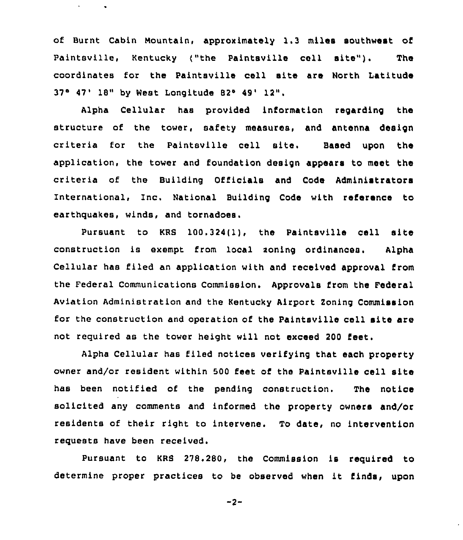of Burnt Cabin Mountain, approximately 1,3 miles southwest of Paintsville, Kentucky ("the Paintsville cell site"). The coordinates for the Paintsville cell site are North Latitude  $37^\circ$  47' 18" by West Longitude 82° 49' 12",

Alpha Cellular has provided information regarding the structure of the tower, safety measures, and antenna design criteria for the Paintsville cell site. Based upon the application, the tower and foundation design appears to meet the criteria of the Building Officials and Code Administrators International, Inc. National Building Code with reference to earthquakes, winds, and tornadoes.

Pursuant to KRS 100.324(1), the Paintsville cell site construction is exempt from local soning ordinances. Alpha Cellular has filed an application with and received approval from the Pederal Communications Commission. Approvals from the Federal Aviation Administration and the Kentucky Airport Zoning Commission for the construction and operation of the Paintsville cell site are not required as the tower height will not exceed 200 feet.

Alpha Cellular has filed notices verifying that each property owner and/or resident within 500 feet of the Paintsville cell site has been notified of the pending construction. The notice solicited any comments and informed the property owners and/or residents of their right to intervene. To date, no intervention requests have been received.

Pursuant to KRB 278.280, the Commission is required to determine proper practices to be observed when it finds, upon

 $-2-$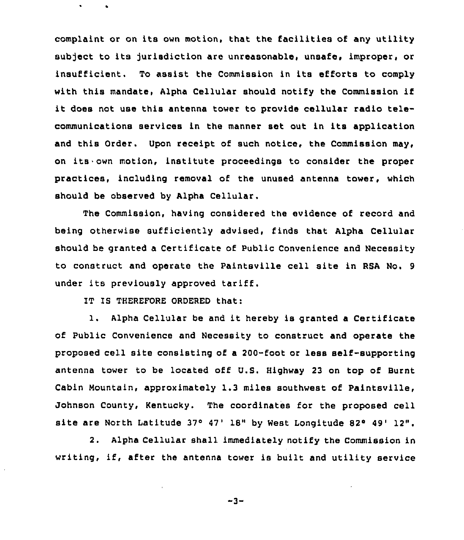complaint or on its own motion, that the facilities of any utility subject to its jurisdiction are unreasonable, unsafe, improper, or insufficient. To assist the Commission in its efforts to comply with this mandate, Alpha Cellular should notify the Commission if it does not use this antenna tower to provide cellular radio telecommunications services in the manner set out in its application and this Order. Upon receipt of such notice, the Commission may, on its own motion, institute proceedings to consider the proper practices, including removal of the unused antenna tower, which should be observed by Alpha Cellular.

The Commission, having considered the evidence of record and being otherwise sufficiently advised, finds that Alpha Cellular should be granted a Certificate of Public Convenience and Necessity to construct and operate the Paintsville cell site in RSA No. <sup>9</sup> under its previously approved tariff.

IT IS THEREFORE ORDERED that:

1. Alpha Cellular be and it hereby is granted <sup>a</sup> Certificate of Public Convenience and Necessity to construct and operate the proposed cell site consisting of a 200-foot or less self-supporting antenna tower to be located off U.S. Highway 23 on top of Burnt Cabin Mountain, approximately 1.3 miles southwest of Paintsville, Johnson County, Kentucky. The coordinates for the proposed cell site are North Latitude 37° 47' 18" by West Longitude 82° 49' 12".

2. Alpha Cellular shall immediately notify the Commission in writing, if, after the antenna tower is built and utility service

 $-3-$